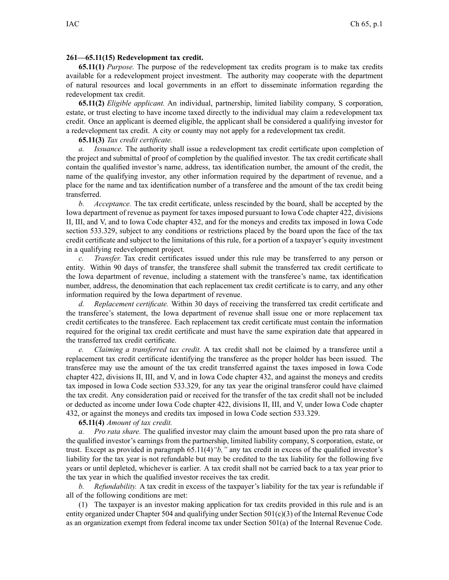## **261—65.11(15) Redevelopment tax credit.**

**65.11(1)** *Purpose.* The purpose of the redevelopment tax credits program is to make tax credits available for <sup>a</sup> redevelopment project investment. The authority may cooperate with the department of natural resources and local governments in an effort to disseminate information regarding the redevelopment tax credit.

**65.11(2)** *Eligible applicant.* An individual, partnership, limited liability company, S corporation, estate, or trust electing to have income taxed directly to the individual may claim <sup>a</sup> redevelopment tax credit. Once an applicant is deemed eligible, the applicant shall be considered <sup>a</sup> qualifying investor for <sup>a</sup> redevelopment tax credit. A city or county may not apply for <sup>a</sup> redevelopment tax credit.

## **65.11(3)** *Tax credit certificate.*

*a. Issuance.* The authority shall issue <sup>a</sup> redevelopment tax credit certificate upon completion of the project and submittal of proof of completion by the qualified investor. The tax credit certificate shall contain the qualified investor's name, address, tax identification number, the amount of the credit, the name of the qualifying investor, any other information required by the department of revenue, and <sup>a</sup> place for the name and tax identification number of <sup>a</sup> transferee and the amount of the tax credit being transferred.

*b. Acceptance.* The tax credit certificate, unless rescinded by the board, shall be accepted by the Iowa department of revenue as paymen<sup>t</sup> for taxes imposed pursuan<sup>t</sup> to Iowa Code chapter [422](https://www.legis.iowa.gov/docs/ico/chapter/422.pdf), divisions II, III, and V, and to Iowa Code chapter [432](https://www.legis.iowa.gov/docs/ico/chapter/432.pdf), and for the moneys and credits tax imposed in Iowa Code section [533.329](https://www.legis.iowa.gov/docs/ico/section/533.329.pdf), subject to any conditions or restrictions placed by the board upon the face of the tax credit certificate and subject to the limitations of this rule, for <sup>a</sup> portion of <sup>a</sup> taxpayer's equity investment in <sup>a</sup> qualifying redevelopment project.

*c. Transfer.* Tax credit certificates issued under this rule may be transferred to any person or entity. Within 90 days of transfer, the transferee shall submit the transferred tax credit certificate to the Iowa department of revenue, including <sup>a</sup> statement with the transferee's name, tax identification number, address, the denomination that each replacement tax credit certificate is to carry, and any other information required by the Iowa department of revenue.

*d. Replacement certificate.* Within 30 days of receiving the transferred tax credit certificate and the transferee's statement, the Iowa department of revenue shall issue one or more replacement tax credit certificates to the transferee. Each replacement tax credit certificate must contain the information required for the original tax credit certificate and must have the same expiration date that appeared in the transferred tax credit certificate.

*e. Claiming <sup>a</sup> transferred tax credit.* A tax credit shall not be claimed by <sup>a</sup> transferee until <sup>a</sup> replacement tax credit certificate identifying the transferee as the proper holder has been issued. The transferee may use the amount of the tax credit transferred against the taxes imposed in Iowa Code chapter [422](https://www.legis.iowa.gov/docs/ico/chapter/422.pdf), divisions II, III, and V, and in Iowa Code chapter [432](https://www.legis.iowa.gov/docs/ico/chapter/432.pdf), and against the moneys and credits tax imposed in Iowa Code section [533.329](https://www.legis.iowa.gov/docs/ico/section/533.329.pdf), for any tax year the original transferor could have claimed the tax credit. Any consideration paid or received for the transfer of the tax credit shall not be included or deducted as income under Iowa Code chapter [422](https://www.legis.iowa.gov/docs/ico/chapter/422.pdf), divisions II, III, and V, under Iowa Code chapter [432](https://www.legis.iowa.gov/docs/ico/chapter/432.pdf), or against the moneys and credits tax imposed in Iowa Code section [533.329](https://www.legis.iowa.gov/docs/ico/section/533.329.pdf).

**65.11(4)** *Amount of tax credit.*

*a. Pro rata share.* The qualified investor may claim the amount based upon the pro rata share of the qualified investor's earnings from the partnership, limited liability company, S corporation, estate, or trust. Except as provided in paragraph [65.11\(4\)](https://www.legis.iowa.gov/docs/iac/rule/261.65.11.pdf)*"b,"* any tax credit in excess of the qualified investor's liability for the tax year is not refundable but may be credited to the tax liability for the following five years or until depleted, whichever is earlier. A tax credit shall not be carried back to <sup>a</sup> tax year prior to the tax year in which the qualified investor receives the tax credit.

*b. Refundability.* A tax credit in excess of the taxpayer's liability for the tax year is refundable if all of the following conditions are met:

(1) The taxpayer is an investor making application for tax credits provided in this rule and is an entity organized under Chapter [504](https://www.legis.iowa.gov/docs/ico/chapter/504.pdf) and qualifying under Section 501(c)(3) of the Internal Revenue Code as an organization exemp<sup>t</sup> from federal income tax under Section 501(a) of the Internal Revenue Code.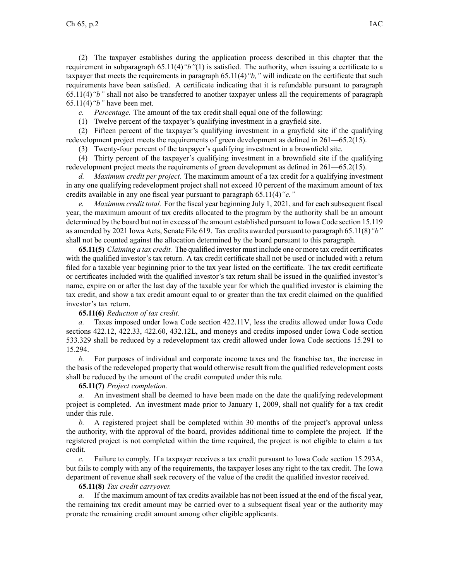(2) The taxpayer establishes during the application process described in this chapter that the requirement in subparagraph [65.11\(4\)](https://www.legis.iowa.gov/docs/iac/rule/261.65.11.pdf)*"b"*(1) is satisfied. The authority, when issuing <sup>a</sup> certificate to <sup>a</sup> taxpayer that meets the requirements in paragraph [65.11\(4\)](https://www.legis.iowa.gov/docs/iac/rule/261.65.11.pdf)*"b,"* will indicate on the certificate that such requirements have been satisfied. A certificate indicating that it is refundable pursuan<sup>t</sup> to paragraph [65.11\(4\)](https://www.legis.iowa.gov/docs/iac/rule/261.65.11.pdf)*"b"* shall not also be transferred to another taxpayer unless all the requirements of paragraph [65.11\(4\)](https://www.legis.iowa.gov/docs/iac/rule/261.65.11.pdf)*"b"* have been met.

*c. Percentage.* The amount of the tax credit shall equal one of the following:

(1) Twelve percen<sup>t</sup> of the taxpayer's qualifying investment in <sup>a</sup> grayfield site.

(2) Fifteen percen<sup>t</sup> of the taxpayer's qualifying investment in <sup>a</sup> grayfield site if the qualifying redevelopment project meets the requirements of green development as defined in [261—65.2\(](https://www.legis.iowa.gov/docs/iac/rule/261.65.2.pdf)15).

(3) Twenty-four percen<sup>t</sup> of the taxpayer's qualifying investment in <sup>a</sup> brownfield site.

(4) Thirty percen<sup>t</sup> of the taxpayer's qualifying investment in <sup>a</sup> brownfield site if the qualifying redevelopment project meets the requirements of green development as defined in [261—65.2\(](https://www.legis.iowa.gov/docs/iac/rule/261.65.2.pdf)15).

*d. Maximum credit per project.* The maximum amount of <sup>a</sup> tax credit for <sup>a</sup> qualifying investment in any one qualifying redevelopment project shall not exceed 10 percen<sup>t</sup> of the maximum amount of tax credits available in any one fiscal year pursuan<sup>t</sup> to paragraph [65.11\(4\)](https://www.legis.iowa.gov/docs/iac/rule/261.65.11.pdf)*"e."*

*e. Maximum credit total.* For the fiscal year beginning July 1, 2021, and for each subsequent fiscal year, the maximum amount of tax credits allocated to the program by the authority shall be an amount determined by the board but not in excess of the amount established pursuan<sup>t</sup> to Iowa Code section [15.119](https://www.legis.iowa.gov/docs/ico/section/15.119.pdf) as amended by 2021 Iowa Acts, Senate File 619. Tax credits awarded pursuan<sup>t</sup> to paragraph [65.11\(8\)](https://www.legis.iowa.gov/docs/iac/rule/261.65.11.pdf)*"b"* shall not be counted against the allocation determined by the board pursuan<sup>t</sup> to this paragraph.

**65.11(5)** *Claiming <sup>a</sup> tax credit.* The qualified investor must include one or more tax credit certificates with the qualified investor's tax return. A tax credit certificate shall not be used or included with <sup>a</sup> return filed for <sup>a</sup> taxable year beginning prior to the tax year listed on the certificate. The tax credit certificate or certificates included with the qualified investor's tax return shall be issued in the qualified investor's name, expire on or after the last day of the taxable year for which the qualified investor is claiming the tax credit, and show <sup>a</sup> tax credit amount equal to or greater than the tax credit claimed on the qualified investor's tax return.

## **65.11(6)** *Reduction of tax credit.*

*a.* Taxes imposed under Iowa Code section [422.11V](https://www.legis.iowa.gov/docs/ico/section/422.11V.pdf), less the credits allowed under Iowa Code sections [422.12](https://www.legis.iowa.gov/docs/ico/section/422.12.pdf), [422.33](https://www.legis.iowa.gov/docs/ico/section/422.33.pdf), [422.60](https://www.legis.iowa.gov/docs/ico/section/422.60.pdf), [432.12L](https://www.legis.iowa.gov/docs/ico/section/432.12L.pdf), and moneys and credits imposed under Iowa Code section [533.329](https://www.legis.iowa.gov/docs/ico/section/533.329.pdf) shall be reduced by <sup>a</sup> redevelopment tax credit allowed under Iowa Code sections [15.291](https://www.legis.iowa.gov/docs/ico/section/15.291-294.pdf) to [15.294](https://www.legis.iowa.gov/docs/ico/section/15.291-294.pdf).

*b.* For purposes of individual and corporate income taxes and the franchise tax, the increase in the basis of the redeveloped property that would otherwise result from the qualified redevelopment costs shall be reduced by the amount of the credit computed under this rule.

**65.11(7)** *Project completion.*

*a.* An investment shall be deemed to have been made on the date the qualifying redevelopment project is completed. An investment made prior to January 1, 2009, shall not qualify for <sup>a</sup> tax credit under this rule.

*b.* A registered project shall be completed within 30 months of the project's approval unless the authority, with the approval of the board, provides additional time to complete the project. If the registered project is not completed within the time required, the project is not eligible to claim <sup>a</sup> tax credit.

*c.* Failure to comply. If <sup>a</sup> taxpayer receives <sup>a</sup> tax credit pursuan<sup>t</sup> to Iowa Code section [15.293A](https://www.legis.iowa.gov/docs/ico/section/15.293A.pdf), but fails to comply with any of the requirements, the taxpayer loses any right to the tax credit. The Iowa department of revenue shall seek recovery of the value of the credit the qualified investor received.

## **65.11(8)** *Tax credit carryover.*

*a.* If the maximum amount of tax credits available has not been issued at the end of the fiscal year, the remaining tax credit amount may be carried over to <sup>a</sup> subsequent fiscal year or the authority may prorate the remaining credit amount among other eligible applicants.